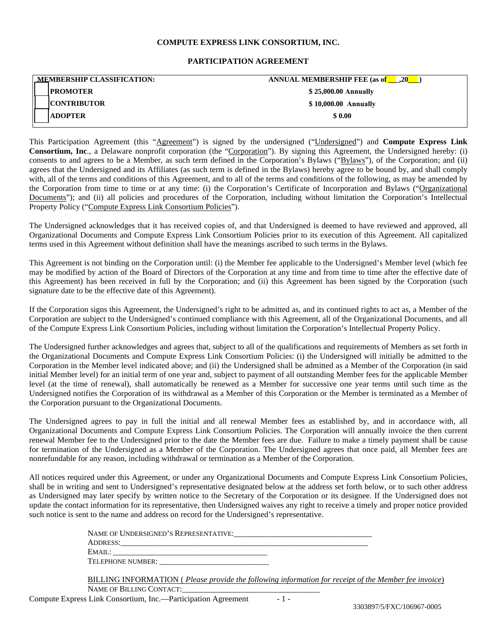## **COMPUTE EXPRESS LINK CONSORTIUM, INC.**

## **PARTICIPATION AGREEMENT**

| <b>MEMBERSHIP CLASSIFICATION:</b> | $\blacksquare$ .20<br><b>ANNUAL MEMBERSHIP FEE (as of</b> |
|-----------------------------------|-----------------------------------------------------------|
| <b>IPROMOTER</b>                  | \$25,000.00 Annually                                      |
| <b>CONTRIBUTOR</b>                | \$10,000.00 Annually                                      |
| <b>ADOPTER</b>                    | \$0.00                                                    |
|                                   |                                                           |

This Participation Agreement (this "Agreement") is signed by the undersigned ("Undersigned") and **Compute Express Link Consortium, Inc**., a Delaware nonprofit corporation (the "Corporation"). By signing this Agreement, the Undersigned hereby: (i) consents to and agrees to be a Member, as such term defined in the Corporation's Bylaws ("Bylaws"), of the Corporation; and (ii) agrees that the Undersigned and its Affiliates (as such term is defined in the Bylaws) hereby agree to be bound by, and shall comply with, all of the terms and conditions of this Agreement, and to all of the terms and conditions of the following, as may be amended by the Corporation from time to time or at any time: (i) the Corporation's Certificate of Incorporation and Bylaws ("Organizational Documents"); and (ii) all policies and procedures of the Corporation, including without limitation the Corporation's Intellectual Property Policy ("Compute Express Link Consortium Policies").

The Undersigned acknowledges that it has received copies of, and that Undersigned is deemed to have reviewed and approved, all Organizational Documents and Compute Express Link Consortium Policies prior to its execution of this Agreement. All capitalized terms used in this Agreement without definition shall have the meanings ascribed to such terms in the Bylaws.

This Agreement is not binding on the Corporation until: (i) the Member fee applicable to the Undersigned's Member level (which fee may be modified by action of the Board of Directors of the Corporation at any time and from time to time after the effective date of this Agreement) has been received in full by the Corporation; and (ii) this Agreement has been signed by the Corporation (such signature date to be the effective date of this Agreement).

If the Corporation signs this Agreement, the Undersigned's right to be admitted as, and its continued rights to act as, a Member of the Corporation are subject to the Undersigned's continued compliance with this Agreement, all of the Organizational Documents, and all of the Compute Express Link Consortium Policies, including without limitation the Corporation's Intellectual Property Policy.

The Undersigned further acknowledges and agrees that, subject to all of the qualifications and requirements of Members as set forth in the Organizational Documents and Compute Express Link Consortium Policies: (i) the Undersigned will initially be admitted to the Corporation in the Member level indicated above; and (ii) the Undersigned shall be admitted as a Member of the Corporation (in said initial Member level) for an initial term of one year and, subject to payment of all outstanding Member fees for the applicable Member level (at the time of renewal), shall automatically be renewed as a Member for successive one year terms until such time as the Undersigned notifies the Corporation of its withdrawal as a Member of this Corporation or the Member is terminated as a Member of the Corporation pursuant to the Organizational Documents.

The Undersigned agrees to pay in full the initial and all renewal Member fees as established by, and in accordance with, all Organizational Documents and Compute Express Link Consortium Policies. The Corporation will annually invoice the then current renewal Member fee to the Undersigned prior to the date the Member fees are due. Failure to make a timely payment shall be cause for termination of the Undersigned as a Member of the Corporation. The Undersigned agrees that once paid, all Member fees are nonrefundable for any reason, including withdrawal or termination as a Member of the Corporation.

All notices required under this Agreement, or under any Organizational Documents and Compute Express Link Consortium Policies, shall be in writing and sent to Undersigned's representative designated below at the address set forth below, or to such other address as Undersigned may later specify by written notice to the Secretary of the Corporation or its designee. If the Undersigned does not update the contact information for its representative, then Undersigned waives any right to receive a timely and proper notice provided such notice is sent to the name and address on record for the Undersigned's representative.

| NAME OF UNDERSIGNED'S REPRESENTATIVE: |
|---------------------------------------|
| ADDRESS:                              |
| EMAIL:                                |
| TELEPHONE NUMBER:                     |

BILLING INFORMATION ( *Please provide the following information for receipt of the Member fee invoice*) NAME OF BILLING CONTACT: